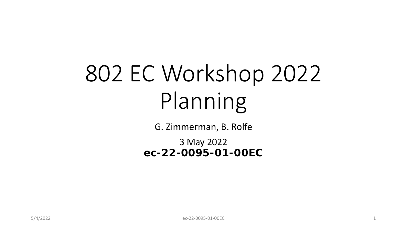# 802 EC Workshop 2022 Planning

G. Zimmerman, B. Rolfe

3 May 2022 **ec-22-0095-01-00EC**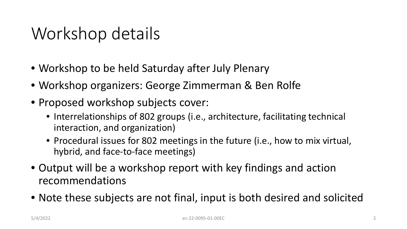### Workshop details

- Workshop to be held Saturday after July Plenary
- Workshop organizers: George Zimmerman & Ben Rolfe
- Proposed workshop subjects cover:
	- Interrelationships of 802 groups (i.e., architecture, facilitating technical interaction, and organization)
	- Procedural issues for 802 meetings in the future (i.e., how to mix virtual, hybrid, and face-to-face meetings)
- Output will be a workshop report with key findings and action recommendations
- Note these subjects are not final, input is both desired and solicited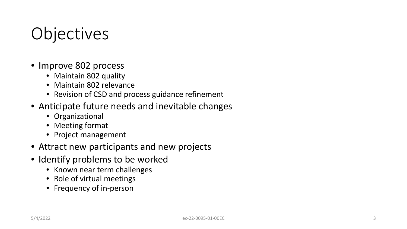## **Objectives**

- Improve 802 process
	- Maintain 802 quality
	- Maintain 802 relevance
	- Revision of CSD and process guidance refinement
- Anticipate future needs and inevitable changes
	- Organizational
	- Meeting format
	- Project management
- Attract new participants and new projects
- Identify problems to be worked
	- Known near term challenges
	- Role of virtual meetings
	- Frequency of in-person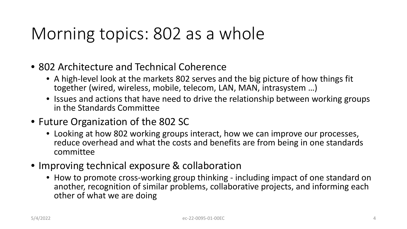### Morning topics: 802 as a whole

- 802 Architecture and Technical Coherence
	- A high-level look at the markets 802 serves and the big picture of how things fit together (wired, wireless, mobile, telecom, LAN, MAN, intrasystem …)
	- Issues and actions that have need to drive the relationship between working groups in the Standards Committee
- Future Organization of the 802 SC
	- Looking at how 802 working groups interact, how we can improve our processes, reduce overhead and what the costs and benefits are from being in one standards committee
- Improving technical exposure & collaboration
	- How to promote cross-working group thinking including impact of one standard on another, recognition of similar problems, collaborative projects, and informing each other of what we are doing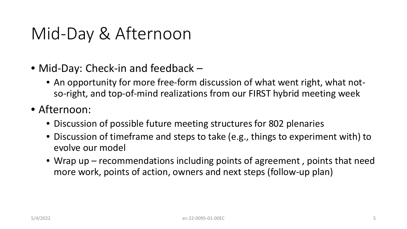### Mid-Day & Afternoon

- Mid-Day: Check-in and feedback
	- An opportunity for more free-form discussion of what went right, what notso-right, and top-of-mind realizations from our FIRST hybrid meeting week
- Afternoon:
	- Discussion of possible future meeting structures for 802 plenaries
	- Discussion of timeframe and steps to take (e.g., things to experiment with) to evolve our model
	- Wrap up recommendations including points of agreement , points that need more work, points of action, owners and next steps (follow-up plan)